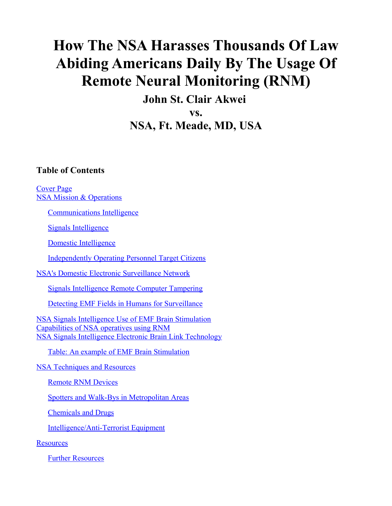# **How The NSA Harasses Thousands Of Law Abiding Americans Daily By The Usage Of Remote Neural Monitoring (RNM)**

**John St. Clair Akwei** 

**vs.**

**NSA, Ft. Meade, MD, USA**

#### **Table of Contents**

[Cover Page](http://by106w.bay106.mail.live.com/mail/ApplicationMain_11.07.0000.0072.aspx?culture=en-US&hash=-1882120067#Cover) [NSA Mission & Operations](http://by106w.bay106.mail.live.com/mail/ApplicationMain_11.07.0000.0072.aspx?culture=en-US&hash=-1882120067#Mission)

[Communications Intelligence](http://by106w.bay106.mail.live.com/mail/ApplicationMain_11.07.0000.0072.aspx?culture=en-US&hash=-1882120067#COMINT)

[Signals Intelligence](http://by106w.bay106.mail.live.com/mail/ApplicationMain_11.07.0000.0072.aspx?culture=en-US&hash=-1882120067#SIGINT)

[Domestic Intelligence](http://by106w.bay106.mail.live.com/mail/ApplicationMain_11.07.0000.0072.aspx?culture=en-US&hash=-1882120067#DOMINT)

[Independently Operating Personnel Target Citizens](http://by106w.bay106.mail.live.com/mail/ApplicationMain_11.07.0000.0072.aspx?culture=en-US&hash=-1882120067#Target)

[NSA's Domestic Electronic Surveillance Network](http://by106w.bay106.mail.live.com/mail/ApplicationMain_11.07.0000.0072.aspx?culture=en-US&hash=-1882120067#Network)

[Signals Intelligence Remote Computer Tampering](http://by106w.bay106.mail.live.com/mail/ApplicationMain_11.07.0000.0072.aspx?culture=en-US&hash=-1882120067#Tamper)

[Detecting EMF Fields in Humans for Surveillance](http://by106w.bay106.mail.live.com/mail/ApplicationMain_11.07.0000.0072.aspx?culture=en-US&hash=-1882120067#Detect)

[NSA Signals Intelligence Use of EMF Brain Stimulation](http://by106w.bay106.mail.live.com/mail/ApplicationMain_11.07.0000.0072.aspx?culture=en-US&hash=-1882120067#Stim) [Capabilities of NSA operatives using RNM](http://by106w.bay106.mail.live.com/mail/ApplicationMain_11.07.0000.0072.aspx?culture=en-US&hash=-1882120067#RNM) [NSA Signals Intelligence Electronic Brain Link Technology](http://by106w.bay106.mail.live.com/mail/ApplicationMain_11.07.0000.0072.aspx?culture=en-US&hash=-1882120067#Brain)

[Table: An example of EMF Brain Stimulation](http://by106w.bay106.mail.live.com/mail/ApplicationMain_11.07.0000.0072.aspx?culture=en-US&hash=-1882120067#Table)

[NSA Techniques and Resources](http://by106w.bay106.mail.live.com/mail/ApplicationMain_11.07.0000.0072.aspx?culture=en-US&hash=-1882120067#Tech)

[Remote RNM Devices](http://by106w.bay106.mail.live.com/mail/ApplicationMain_11.07.0000.0072.aspx?culture=en-US&hash=-1882120067#Device)

[Spotters and Walk-Bys in Metropolitan Areas](http://by106w.bay106.mail.live.com/mail/ApplicationMain_11.07.0000.0072.aspx?culture=en-US&hash=-1882120067#Spotters)

[Chemicals and Drugs](http://by106w.bay106.mail.live.com/mail/ApplicationMain_11.07.0000.0072.aspx?culture=en-US&hash=-1882120067#Chem)

[Intelligence/Anti-Terrorist Equipment](http://by106w.bay106.mail.live.com/mail/ApplicationMain_11.07.0000.0072.aspx?culture=en-US&hash=-1882120067#Brief)

**[Resources](http://by106w.bay106.mail.live.com/mail/ApplicationMain_11.07.0000.0072.aspx?culture=en-US&hash=-1882120067#Resources)** 

[Further Resources](http://by106w.bay106.mail.live.com/mail/ApplicationMain_11.07.0000.0072.aspx?culture=en-US&hash=-1882120067#Further)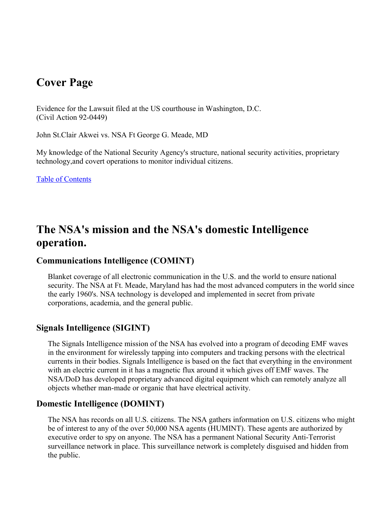## **Cover Page**

Evidence for the Lawsuit filed at the US courthouse in Washington, D.C. (Civil Action 92-0449)

John St.Clair Akwei vs. NSA Ft George G. Meade, MD

My knowledge of the National Security Agency's structure, national security activities, proprietary technology,and covert operations to monitor individual citizens.

[Table of Contents](http://by106w.bay106.mail.live.com/mail/ApplicationMain_11.07.0000.0072.aspx?culture=en-US&hash=-1882120067#TOC)

## **The NSA's mission and the NSA's domestic Intelligence operation.**

## **Communications Intelligence (COMINT)**

Blanket coverage of all electronic communication in the U.S. and the world to ensure national security. The NSA at Ft. Meade, Maryland has had the most advanced computers in the world since the early 1960's. NSA technology is developed and implemented in secret from private corporations, academia, and the general public.

## **Signals Intelligence (SIGINT)**

The Signals Intelligence mission of the NSA has evolved into a program of decoding EMF waves in the environment for wirelessly tapping into computers and tracking persons with the electrical currents in their bodies. Signals Intelligence is based on the fact that everything in the environment with an electric current in it has a magnetic flux around it which gives off EMF waves. The NSA/DoD has developed proprietary advanced digital equipment which can remotely analyze all objects whether man-made or organic that have electrical activity.

## **Domestic Intelligence (DOMINT)**

The NSA has records on all U.S. citizens. The NSA gathers information on U.S. citizens who might be of interest to any of the over 50,000 NSA agents (HUMINT). These agents are authorized by executive order to spy on anyone. The NSA has a permanent National Security Anti-Terrorist surveillance network in place. This surveillance network is completely disguised and hidden from the public.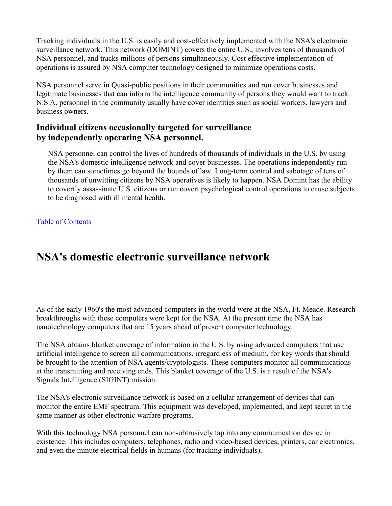Tracking individuals in the U.S. is easily and cost-effectively implemented with the NSA's electronic surveillance network. This network (DOMINT) covers the entire U.S., involves tens of thousands of NSA personnel, and tracks millions of persons simultaneously. Cost effective implementation of operations is assured by NSA computer technology designed to minimize operations costs.

NSA personnel serve in Quasi-public positions in their communities and run cover businesses and legitimate businesses that can inform the intelligence community of persons they would want to track. N.S.A. personnel in the community usually have cover identities such as social workers, lawyers and business owners.

## **Individual citizens occasionally targeted for surveillance by independently operating NSA personnel.**

NSA personnel can control the lives of hundreds of thousands of individuals in the U.S. by using the NSA's domestic intelligence network and cover businesses. The operations independently run by them can sometimes go beyond the bounds of law. Long-term control and sabotage of tens of thousands of unwitting citizens by NSA operatives is likely to happen. NSA Domint has the ability to covertly assassinate U.S. citizens or run covert psychological control operations to cause subjects to be diagnosed with ill mental health.

[Table of Contents](http://by106w.bay106.mail.live.com/mail/ApplicationMain_11.07.0000.0072.aspx?culture=en-US&hash=-1882120067#TOC)

## **NSA's domestic electronic surveillance network**

As of the early 1960's the most advanced computers in the world were at the NSA, Ft. Meade. Research breakthroughs with these computers were kept for the NSA. At the present time the NSA has nanotechnology computers that are 15 years ahead of present computer technology.

The NSA obtains blanket coverage of information in the U.S. by using advanced computers that use artificial intelligence to screen all communications, irregardless of medium, for key words that should be brought to the attention of NSA agents/cryptologists. These computers monitor all communications at the transmitting and receiving ends. This blanket coverage of the U.S. is a result of the NSA's Signals Intelligence (SIGINT) mission.

The NSA's electronic surveillance network is based on a cellular arrangement of devices that can monitor the entire EMF spectrum. This equipment was developed, implemented, and kept secret in the same manner as other electronic warfare programs.

With this technology NSA personnel can non-obtrusively tap into any communication device in existence. This includes computers, telephones, radio and video-based devices, printers, car electronics, and even the minute electrical fields in humans (for tracking individuals).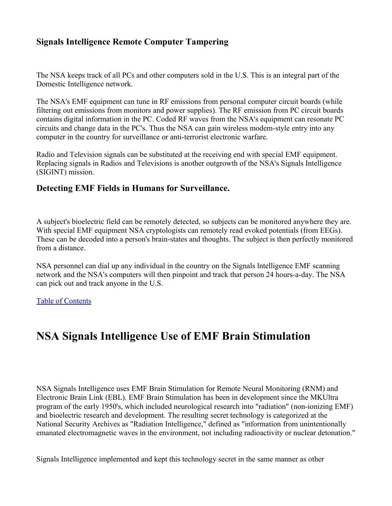## **Signals Intelligence Remote Computer Tampering**

The NSA keeps track of all PCs and other computers sold in the U.S. This is an integral part of the Domestic Intelligence network.

The NSA's EMF equipment can tune in RF emissions from personal computer circuit boards (while filtering out emissions from monitors and power supplies). The RF emission from PC circuit boards contains digital information in the PC. Coded RF waves from the NSA's equipment can resonate PC circuits and change data in the PC's. Thus the NSA can gain wireless modem-style entry into any computer in the country for surveillance or anti-terrorist electronic warfare.

Radio and Television signals can be substituted at the receiving end with special EMF equipment. Replacing signals in Radios and Televisions is another outgrowth of the NSA's Signals Intelligence (SIGINT) mission.

#### **Detecting EMF Fields in Humans for Surveillance.**

A subject's bioelectric field can be remotely detected, so subjects can be monitored anywhere they are. With special EMF equipment NSA cryptologists can remotely read evoked potentials (from EEGs). These can be decoded into a person's brain-states and thoughts. The subject is then perfectly monitored from a distance.

NSA personnel can dial up any individual in the country on the Signals lntelligence EMF scanning network and the NSA's computers will then pinpoint and track that person 24 hours-a-day. The NSA can pick out and track anyone in the U.S.

#### [Table of Contents](http://by106w.bay106.mail.live.com/mail/ApplicationMain_11.07.0000.0072.aspx?culture=en-US&hash=-1882120067#TOC)

## **NSA Signals Intelligence Use of EMF Brain Stimulation**

NSA Signals Intelligence uses EMF Brain Stimulation for Remote Neural Monitoring (RNM) and Electronic Brain Link (EBL). EMF Brain Stimulation has been in development since the MKUltra program of the early 1950's, which included neurological research into "radiation" (non-ionizing EMF) and bioelectric research and development. The resulting secret technology is categorized at the National Security Archives as "Radiation Intelligence," defined as "information from unintentionally emanated electromagnetic waves in the environment, not including radioactivity or nuclear detonation."

Signals Intelligence implemented and kept this technology secret in the same manner as other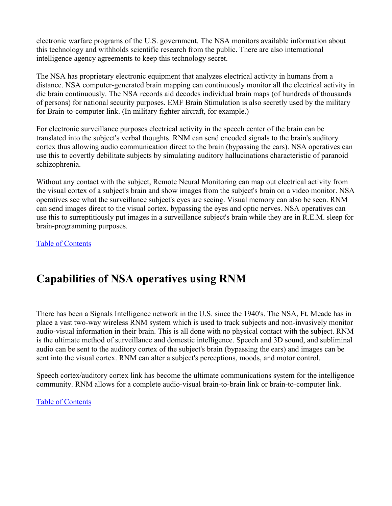electronic warfare programs of the U.S. government. The NSA monitors available information about this technology and withholds scientific research from the public. There are also international intelligence agency agreements to keep this technology secret.

The NSA has proprietary electronic equipment that analyzes electrical activity in humans from a distance. NSA computer-generated brain mapping can continuously monitor all the electrical activity in die brain continuously. The NSA records aid decodes individual brain maps (of hundreds of thousands of persons) for national security purposes. EMF Brain Stimulation is also secretly used by the military for Brain-to-computer link. (In military fighter aircraft, for example.)

For electronic surveillance purposes electrical activity in the speech center of the brain can be translated into the subject's verbal thoughts. RNM can send encoded signals to the brain's auditory cortex thus allowing audio communication direct to the brain (bypassing the ears). NSA operatives can use this to covertly debilitate subjects by simulating auditory hallucinations characteristic of paranoid schizophrenia.

Without any contact with the subject, Remote Neural Monitoring can map out electrical activity from the visual cortex of a subject's brain and show images from the subject's brain on a video monitor. NSA operatives see what the surveillance subject's eyes are seeing. Visual memory can also be seen. RNM can send images direct to the visual cortex. bypassing the eyes and optic nerves. NSA operatives can use this to surreptitiously put images in a surveillance subject's brain while they are in R.E.M. sleep for brain-programming purposes.

[Table of Contents](http://by106w.bay106.mail.live.com/mail/ApplicationMain_11.07.0000.0072.aspx?culture=en-US&hash=-1882120067#TOC)

## **Capabilities of NSA operatives using RNM**

There has been a Signals Intelligence network in the U.S. since the 1940's. The NSA, Ft. Meade has in place a vast two-way wireless RNM system which is used to track subjects and non-invasively monitor audio-visual information in their brain. This is all done with no physical contact with the subject. RNM is the ultimate method of surveillance and domestic intelligence. Speech and 3D sound, and subliminal audio can be sent to the auditory cortex of the subject's brain (bypassing the ears) and images can be sent into the visual cortex. RNM can alter a subject's perceptions, moods, and motor control.

Speech cortex/auditory cortex link has become the ultimate communications system for the intelligence community. RNM allows for a complete audio-visual brain-to-brain link or brain-to-computer link.

#### [Table of Contents](http://by106w.bay106.mail.live.com/mail/ApplicationMain_11.07.0000.0072.aspx?culture=en-US&hash=-1882120067#TOC)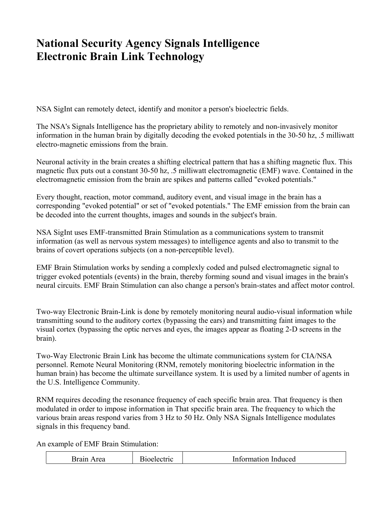## **National Security Agency Signals Intelligence Electronic Brain Link Technology**

NSA SigInt can remotely detect, identify and monitor a person's bioelectric fields.

The NSA's Signals Intelligence has the proprietary ability to remotely and non-invasively monitor information in the human brain by digitally decoding the evoked potentials in the 30-50 hz, .5 milliwatt electro-magnetic emissions from the brain.

Neuronal activity in the brain creates a shifting electrical pattern that has a shifting magnetic flux. This magnetic flux puts out a constant 30-50 hz, .5 milliwatt electromagnetic (EMF) wave. Contained in the electromagnetic emission from the brain are spikes and patterns called "evoked potentials."

Every thought, reaction, motor command, auditory event, and visual image in the brain has a corresponding "evoked potential" or set of "evoked potentials." The EMF emission from the brain can be decoded into the current thoughts, images and sounds in the subject's brain.

NSA SigInt uses EMF-transmitted Brain Stimulation as a communications system to transmit information (as well as nervous system messages) to intelligence agents and also to transmit to the brains of covert operations subjects (on a non-perceptible level).

EMF Brain Stimulation works by sending a complexly coded and pulsed electromagnetic signal to trigger evoked potentials (events) in the brain, thereby forming sound and visual images in the brain's neural circuits. EMF Brain Stimulation can also change a person's brain-states and affect motor control.

Two-way Electronic Brain-Link is done by remotely monitoring neural audio-visual information while transmitting sound to the auditory cortex (bypassing the ears) and transmitting faint images to the visual cortex (bypassing the optic nerves and eyes, the images appear as floating 2-D screens in the brain).

Two-Way Electronic Brain Link has become the ultimate communications system for CIA/NSA personnel. Remote Neural Monitoring (RNM, remotely monitoring bioelectric information in the human brain) has become the ultimate surveillance system. It is used by a limited number of agents in the U.S. Intelligence Community.

RNM requires decoding the resonance frequency of each specific brain area. That frequency is then modulated in order to impose information in That specific brain area. The frequency to which the various brain areas respond varies from 3 Hz to 50 Hz. Only NSA Signals Intelligence modulates signals in this frequency band.

An example of EMF Brain Stimulation:

| Brain Area | Bioelectric | Information Induced |
|------------|-------------|---------------------|
|------------|-------------|---------------------|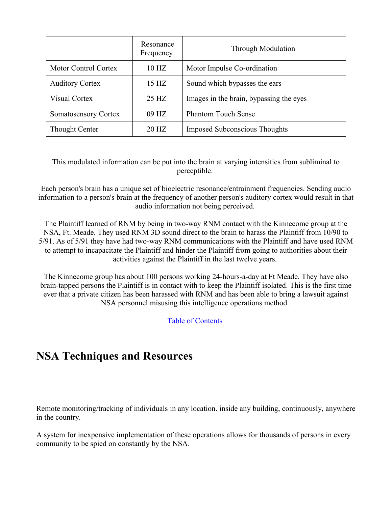|                             | Resonance<br>Frequency | <b>Through Modulation</b>               |
|-----------------------------|------------------------|-----------------------------------------|
| Motor Control Cortex        | 10 HZ                  | Motor Impulse Co-ordination             |
| <b>Auditory Cortex</b>      | 15 HZ                  | Sound which bypasses the ears           |
| Visual Cortex               | 25 HZ                  | Images in the brain, bypassing the eyes |
| <b>Somatosensory Cortex</b> | 09 HZ                  | <b>Phantom Touch Sense</b>              |
| <b>Thought Center</b>       | 20 HZ                  | <b>Imposed Subconscious Thoughts</b>    |

This modulated information can be put into the brain at varying intensities from subliminal to perceptible.

Each person's brain has a unique set of bioelectric resonance/entrainment frequencies. Sending audio information to a person's brain at the frequency of another person's auditory cortex would result in that audio information not being perceived.

The Plaintiff learned of RNM by being in two-way RNM contact with the Kinnecome group at the NSA, Ft. Meade. They used RNM 3D sound direct to the brain to harass the Plaintiff from 10/90 to 5/91. As of 5/91 they have had two-way RNM communications with the Plaintiff and have used RNM to attempt to incapacitate the Plaintiff and hinder the Plaintiff from going to authorities about their activities against the Plaintiff in the last twelve years.

The Kinnecome group has about 100 persons working 24-hours-a-day at Ft Meade. They have also brain-tapped persons the Plaintiff is in contact with to keep the Plaintiff isolated. This is the first time ever that a private citizen has been harassed with RNM and has been able to bring a lawsuit against NSA personnel misusing this intelligence operations method.

[Table of Contents](http://by106w.bay106.mail.live.com/mail/ApplicationMain_11.07.0000.0072.aspx?culture=en-US&hash=-1882120067#TOC)

## **NSA Techniques and Resources**

Remote monitoring/tracking of individuals in any location. inside any building, continuously, anywhere in the country.

A system for inexpensive implementation of these operations allows for thousands of persons in every community to be spied on constantly by the NSA.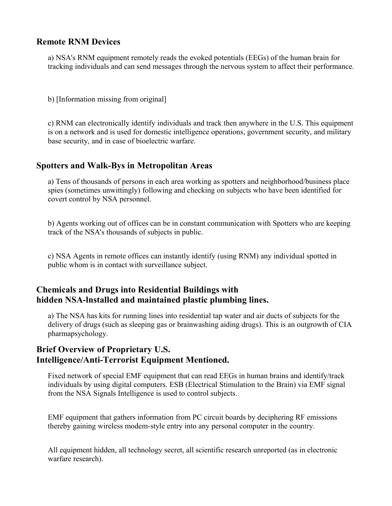## **Remote RNM Devices**

a) NSA's RNM equipment remotely reads the evoked potentials (EEGs) of the human brain for tracking individuals and can send messages through the nervous system to affect their performance.

b) [Information missing from original]

c) RNM can electronically identify individuals and track then anywhere in the U.S. This equipment is on a network and is used for domestic intelligence operations, government security, and military base security, and in case of bioelectric warfare.

#### **Spotters and Walk-Bys in Metropolitan Areas**

a) Tens of thousands of persons in each area working as spotters and neighborhood/business place spies (sometimes unwittingly) following and checking on subjects who have been identified for covert control by NSA personnel.

b) Agents working out of offices can be in constant communication with Spotters who are keeping track of the NSA's thousands of subjects in public.

c) NSA Agents in remote offices can instantly identify (using RNM) any individual spotted in public whom is in contact with surveillance subject.

## **Chemicals and Drugs into Residential Buildings with hidden NSA-lnstalled and maintained plastic plumbing lines.**

a) The NSA has kits for running lines into residential tap water and air ducts of subjects for the delivery of drugs (such as sleeping gas or brainwashing aiding drugs). This is an outgrowth of CIA pharmapsychology.

#### **Brief Overview of Proprietary U.S. Intelligence/Anti-Terrorist Equipment Mentioned.**

Fixed network of special EMF equipment that can read EEGs in human brains and identify/track individuals by using digital computers. ESB (Electrical Stimulation to the Brain) via EMF signal from the NSA Signals Intelligence is used to control subjects.

EMF equipment that gathers information from PC circuit boards by deciphering RF emissions thereby gaining wireless modem-style entry into any personal computer in the country.

All equipment hidden, all technology secret, all scientific research unreported (as in electronic warfare research).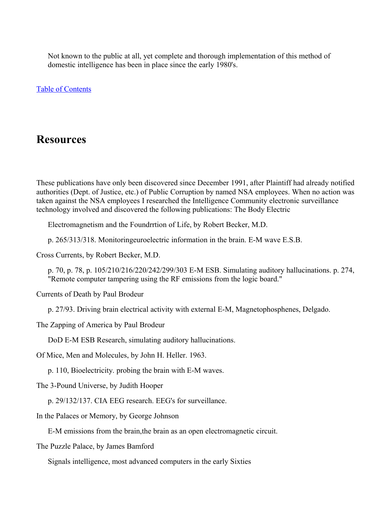Not known to the public at all, yet complete and thorough implementation of this method of domestic intelligence has been in place since the early 1980's.

[Table of Contents](http://by106w.bay106.mail.live.com/mail/ApplicationMain_11.07.0000.0072.aspx?culture=en-US&hash=-1882120067#TOC)

## **Resources**

These publications have only been discovered since December 1991, after Plaintiff had already notified authorities (Dept. of Justice, etc.) of Public Corruption by named NSA employees. When no action was taken against the NSA employees I researched the Intelligence Community electronic surveillance technology involved and discovered the following publications: The Body Electric

Electromagnetism and the Foundrrtion of Life, by Robert Becker, M.D.

p. 265/313/318. Monitoringeuroelectric information in the brain. E-M wave E.S.B.

Cross Currents, by Robert Becker, M.D.

p. 70, p. 78, p. 105/210/216/220/242/299/303 E-M ESB. Simulating auditory hallucinations. p. 274, "Remote computer tampering using the RF emissions from the logic board."

Currents of Death by Paul Brodeur

p. 27/93. Driving brain electrical activity with external E-M, Magnetophosphenes, Delgado.

The Zapping of America by Paul Brodeur

DoD E-M ESB Research, simulating auditory hallucinations.

Of Mice, Men and Molecules, by John H. Heller. 1963.

p. 110, Bioelectricity. probing the brain with E-M waves.

The 3-Pound Universe, by Judith Hooper

p. 29/132/137. CIA EEG research. EEG's for surveillance.

In the Palaces or Memory, by George Johnson

E-M emissions from the brain,the brain as an open electromagnetic circuit.

The Puzzle Palace, by James Bamford

Signals intelligence, most advanced computers in the early Sixties